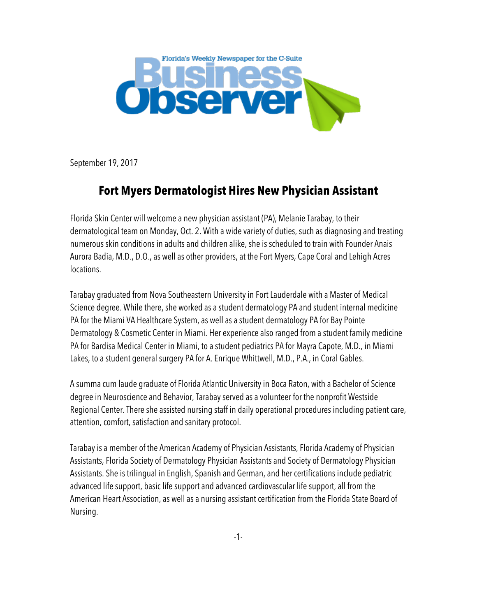

September 19, 2017

## **Fort Myers Dermatologist Hires New Physician Assistant**

Florida Skin Center will welcome a new physician assistant (PA), Melanie Tarabay, to their dermatological team on Monday, Oct. 2. With a wide variety of duties, such as diagnosing and treating numerous skin conditions in adults and children alike, she is scheduled to train with Founder Anais Aurora Badia, M.D., D.O., as well as other providers, at the Fort Myers, Cape Coral and Lehigh Acres locations.

Tarabay graduated from Nova Southeastern University in Fort Lauderdale with a Master of Medical Science degree. While there, she worked as a student dermatology PA and student internal medicine PA for the Miami VA Healthcare System, as well as a student dermatology PA for Bay Pointe Dermatology & Cosmetic Center in Miami. Her experience also ranged from a student family medicine PA for Bardisa Medical Center in Miami, to a student pediatrics PA for Mayra Capote, M.D., in Miami Lakes, to a student general surgery PA for A. Enrique Whittwell, M.D., P.A., in Coral Gables.

A summa cum laude graduate of Florida Atlantic University in Boca Raton, with a Bachelor of Science degree in Neuroscience and Behavior, Tarabay served as a volunteer for the nonprofit Westside Regional Center. There she assisted nursing staff in daily operational procedures including patient care, attention, comfort, satisfaction and sanitary protocol.

Tarabay is a member of the American Academy of Physician Assistants, Florida Academy of Physician Assistants, Florida Society of Dermatology Physician Assistants and Society of Dermatology Physician Assistants. She is trilingual in English, Spanish and German, and her certifications include pediatric advanced life support, basic life support and advanced cardiovascular life support, all from the American Heart Association, as well as a nursing assistant certification from the Florida State Board of Nursing.